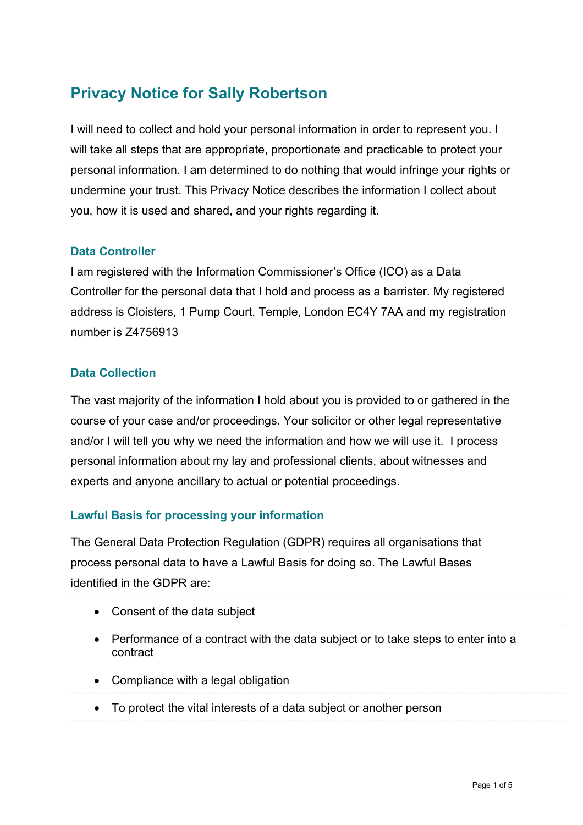# **Privacy Notice for Sally Robertson**

I will need to collect and hold your personal information in order to represent you. I will take all steps that are appropriate, proportionate and practicable to protect your personal information. I am determined to do nothing that would infringe your rights or undermine your trust. This Privacy Notice describes the information I collect about you, how it is used and shared, and your rights regarding it.

### **Data Controller**

I am registered with the Information Commissioner's Office (ICO) as a Data Controller for the personal data that I hold and process as a barrister. My registered address is Cloisters, 1 Pump Court, Temple, London EC4Y 7AA and my registration number is Z4756913

#### **Data Collection**

The vast majority of the information I hold about you is provided to or gathered in the course of your case and/or proceedings. Your solicitor or other legal representative and/or I will tell you why we need the information and how we will use it. I process personal information about my lay and professional clients, about witnesses and experts and anyone ancillary to actual or potential proceedings.

### **Lawful Basis for processing your information**

The General Data Protection Regulation (GDPR) requires all organisations that process personal data to have a Lawful Basis for doing so. The Lawful Bases identified in the GDPR are:

- Consent of the data subject
- Performance of a contract with the data subject or to take steps to enter into a contract
- Compliance with a legal obligation
- To protect the vital interests of a data subject or another person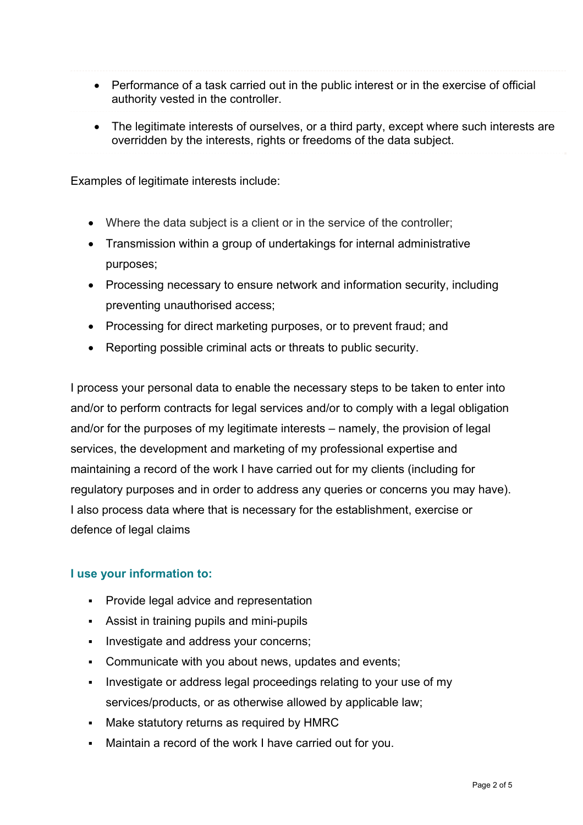- Performance of a task carried out in the public interest or in the exercise of official authority vested in the controller.
- The legitimate interests of ourselves, or a third party, except where such interests are overridden by the interests, rights or freedoms of the data subject.

Examples of legitimate interests include:

- Where the data subject is a client or in the service of the controller;
- Transmission within a group of undertakings for internal administrative purposes;
- Processing necessary to ensure network and information security, including preventing unauthorised access;
- Processing for direct marketing purposes, or to prevent fraud; and
- Reporting possible criminal acts or threats to public security.

I process your personal data to enable the necessary steps to be taken to enter into and/or to perform contracts for legal services and/or to comply with a legal obligation and/or for the purposes of my legitimate interests – namely, the provision of legal services, the development and marketing of my professional expertise and maintaining a record of the work I have carried out for my clients (including for regulatory purposes and in order to address any queries or concerns you may have). I also process data where that is necessary for the establishment, exercise or defence of legal claims

#### **I use your information to:**

- **Provide legal advice and representation**
- Assist in training pupils and mini-pupils
- **Investigate and address your concerns;**
- Communicate with you about news, updates and events;
- Investigate or address legal proceedings relating to your use of my services/products, or as otherwise allowed by applicable law;
- Make statutory returns as required by HMRC
- Maintain a record of the work I have carried out for you.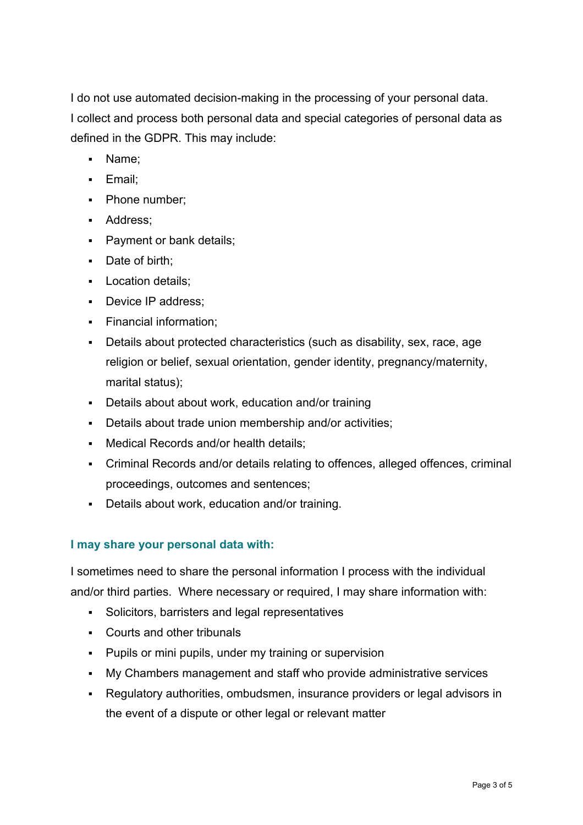I do not use automated decision-making in the processing of your personal data. I collect and process both personal data and special categories of personal data as defined in the GDPR. This may include:

- Name;
- **Email:**
- Phone number:
- **Address**;
- **Payment or bank details;**
- Date of birth;
- **Location details;**
- Device IP address;
- **Financial information:**
- Details about protected characteristics (such as disability, sex, race, age religion or belief, sexual orientation, gender identity, pregnancy/maternity, marital status);
- Details about about work, education and/or training
- Details about trade union membership and/or activities;
- Medical Records and/or health details;
- Criminal Records and/or details relating to offences, alleged offences, criminal proceedings, outcomes and sentences;
- Details about work, education and/or training.

### **I may share your personal data with:**

I sometimes need to share the personal information I process with the individual and/or third parties. Where necessary or required, I may share information with:

- Solicitors, barristers and legal representatives
- Courts and other tribunals
- **Pupils or mini pupils, under my training or supervision**
- My Chambers management and staff who provide administrative services
- Regulatory authorities, ombudsmen, insurance providers or legal advisors in the event of a dispute or other legal or relevant matter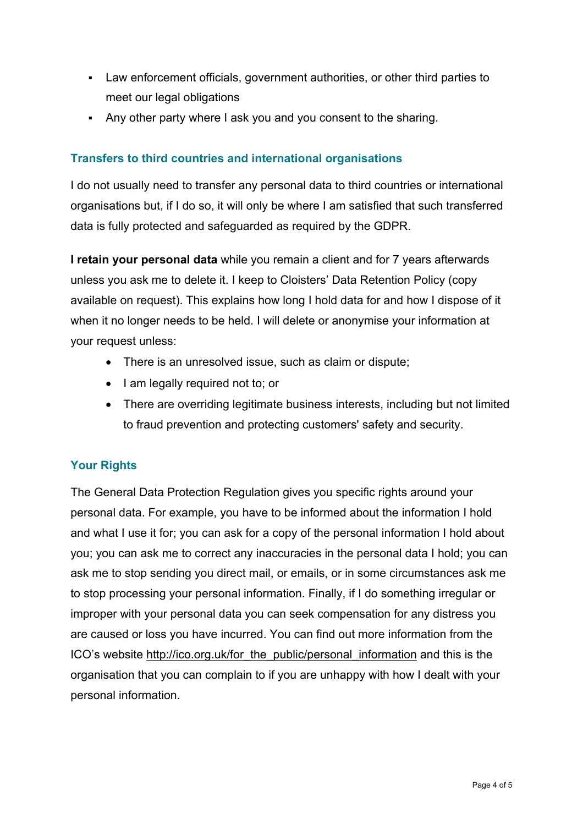- Law enforcement officials, government authorities, or other third parties to meet our legal obligations
- Any other party where I ask you and you consent to the sharing.

## **Transfers to third countries and international organisations**

I do not usually need to transfer any personal data to third countries or international organisations but, if I do so, it will only be where I am satisfied that such transferred data is fully protected and safeguarded as required by the GDPR.

**I retain your personal data** while you remain a client and for 7 years afterwards unless you ask me to delete it. I keep to Cloisters' Data Retention Policy (copy available on request). This explains how long I hold data for and how I dispose of it when it no longer needs to be held. I will delete or anonymise your information at your request unless:

- There is an unresolved issue, such as claim or dispute:
- I am legally required not to; or
- There are overriding legitimate business interests, including but not limited to fraud prevention and protecting customers' safety and security.

### **Your Rights**

The General Data Protection Regulation gives you specific rights around your personal data. For example, you have to be informed about the information I hold and what I use it for; you can ask for a copy of the personal information I hold about you; you can ask me to correct any inaccuracies in the personal data I hold; you can ask me to stop sending you direct mail, or emails, or in some circumstances ask me to stop processing your personal information. Finally, if I do something irregular or improper with your personal data you can seek compensation for any distress you are caused or loss you have incurred. You can find out more information from the ICO's website http://ico.org.uk/for\_the\_public/personal\_information and this is the organisation that you can complain to if you are unhappy with how I dealt with your personal information.